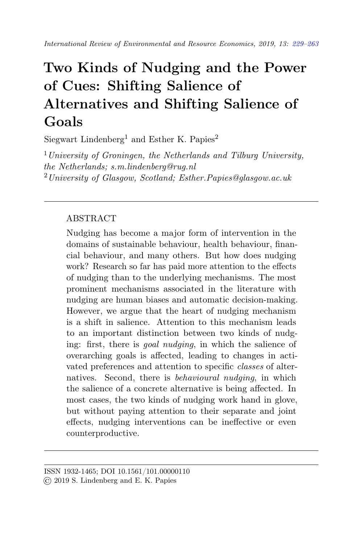# <span id="page-0-0"></span>Two Kinds of Nudging and the Power of Cues: Shifting Salience of Alternatives and Shifting Salience of Goals

Siegwart Lindenberg<sup>1</sup> and Esther K. Papies<sup>2</sup>

 $1$  University of Groningen, the Netherlands and Tilburg University, the Netherlands; s.m.lindenberg@rug.nl <sup>2</sup> University of Glasgow, Scotland; Esther. Papies@glasgow.ac.uk

# ABSTRACT

Nudging has become a major form of intervention in the domains of sustainable behaviour, health behaviour, financial behaviour, and many others. But how does nudging work? Research so far has paid more attention to the effects of nudging than to the underlying mechanisms. The most prominent mechanisms associated in the literature with nudging are human biases and automatic decision-making. However, we argue that the heart of nudging mechanism is a shift in salience. Attention to this mechanism leads to an important distinction between two kinds of nudging: first, there is goal nudging, in which the salience of overarching goals is affected, leading to changes in activated preferences and attention to specific classes of alternatives. Second, there is behavioural nudging, in which the salience of a concrete alternative is being affected. In most cases, the two kinds of nudging work hand in glove, but without paying attention to their separate and joint effects, nudging interventions can be ineffective or even counterproductive.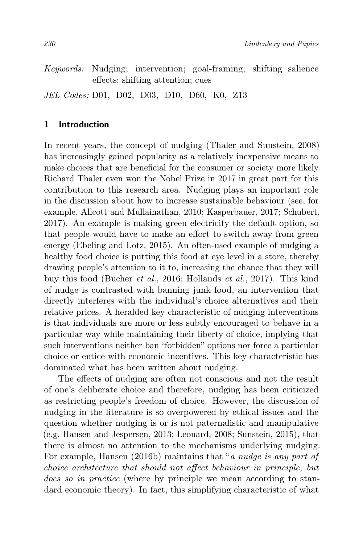Keywords: Nudging; intervention; goal-framing; shifting salience effects; shifting attention; cues

JEL Codes: D01, D02, D03, D10, D60, K0, Z13

## 1 Introduction

In recent years, the concept of nudging (Thaler and Sunstein, 2008) has increasingly gained popularity as a relatively inexpensive means to make choices that are beneficial for the consumer or society more likely. Richard Thaler even won the Nobel Prize in 2017 in great part for this contribution to this research area. Nudging plays an important role in the discussion about how to increase sustainable behaviour (see, for example, Allcott and Mullainathan, 2010; Kasperbauer, 2017; Schubert, 2017). An example is making green electricity the default option, so that people would have to make an effort to switch away from green energy (Ebeling and Lotz, 2015). An often-used example of nudging a healthy food choice is putting this food at eye level in a store, thereby drawing people's attention to it to, increasing the chance that they will buy this food (Bucher et al., 2016; Hollands et al., 2017). This kind of nudge is contrasted with banning junk food, an intervention that directly interferes with the individual's choice alternatives and their relative prices. A heralded key characteristic of nudging interventions is that individuals are more or less subtly encouraged to behave in a particular way while maintaining their liberty of choice, implying that such interventions neither ban "forbidden" options nor force a particular choice or entice with economic incentives. This key characteristic has dominated what has been written about nudging.

The effects of nudging are often not conscious and not the result of one's deliberate choice and therefore, nudging has been criticized as restricting people's freedom of choice. However, the discussion of nudging in the literature is so overpowered by ethical issues and the question whether nudging is or is not paternalistic and manipulative (e.g. Hansen and Jespersen, 2013; Leonard, 2008; Sunstein, 2015), that there is almost no attention to the mechanisms underlying nudging. For example, Hansen (2016b) maintains that "a nudge is any part of choice architecture that should not affect behaviour in principle, but does so in practice (where by principle we mean according to standard economic theory). In fact, this simplifying characteristic of what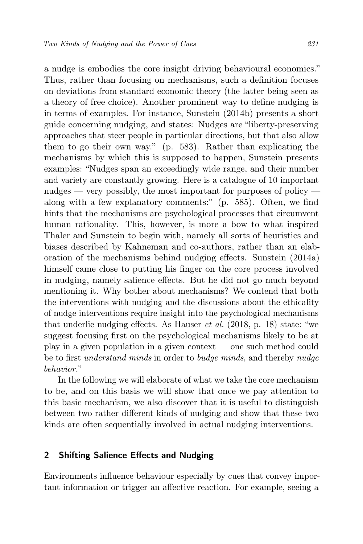a nudge is embodies the core insight driving behavioural economics." Thus, rather than focusing on mechanisms, such a definition focuses on deviations from standard economic theory (the latter being seen as a theory of free choice). Another prominent way to define nudging is in terms of examples. For instance, Sunstein (2014b) presents a short guide concerning nudging, and states: Nudges are "liberty-preserving approaches that steer people in particular directions, but that also allow them to go their own way." (p. 583). Rather than explicating the mechanisms by which this is supposed to happen, Sunstein presents examples: "Nudges span an exceedingly wide range, and their number and variety are constantly growing. Here is a catalogue of 10 important nudges — very possibly, the most important for purposes of policy along with a few explanatory comments:" (p. 585). Often, we find hints that the mechanisms are psychological processes that circumvent human rationality. This, however, is more a bow to what inspired Thaler and Sunstein to begin with, namely all sorts of heuristics and biases described by Kahneman and co-authors, rather than an elaboration of the mechanisms behind nudging effects. Sunstein (2014a) himself came close to putting his finger on the core process involved in nudging, namely salience effects. But he did not go much beyond mentioning it. Why bother about mechanisms? We contend that both the interventions with nudging and the discussions about the ethicality of nudge interventions require insight into the psychological mechanisms that underlie nudging effects. As Hauser et al. (2018, p. 18) state: "we suggest focusing first on the psychological mechanisms likely to be at play in a given population in a given context — one such method could be to first understand minds in order to budge minds, and thereby nudge behavior."

In the following we will elaborate of what we take the core mechanism to be, and on this basis we will show that once we pay attention to this basic mechanism, we also discover that it is useful to distinguish between two rather different kinds of nudging and show that these two kinds are often sequentially involved in actual nudging interventions.

## 2 Shifting Salience Effects and Nudging

Environments influence behaviour especially by cues that convey important information or trigger an affective reaction. For example, seeing a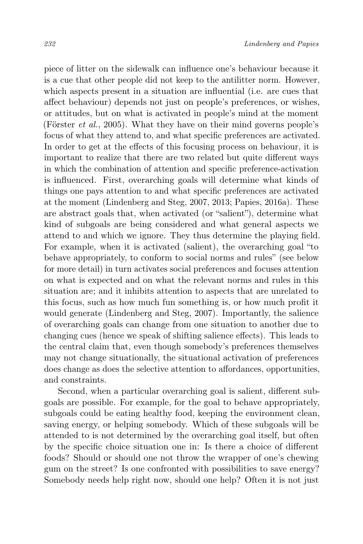piece of litter on the sidewalk can influence one's behaviour because it is a cue that other people did not keep to the antilitter norm. However, which aspects present in a situation are influential (i.e. are cues that affect behaviour) depends not just on people's preferences, or wishes, or attitudes, but on what is activated in people's mind at the moment (Förster *et al.*, 2005). What they have on their mind governs people's focus of what they attend to, and what specific preferences are activated. In order to get at the effects of this focusing process on behaviour, it is important to realize that there are two related but quite different ways in which the combination of attention and specific preference-activation is influenced. First, overarching goals will determine what kinds of things one pays attention to and what specific preferences are activated at the moment (Lindenberg and Steg, 2007, 2013; Papies, 2016a). These are abstract goals that, when activated (or "salient"), determine what kind of subgoals are being considered and what general aspects we attend to and which we ignore. They thus determine the playing field. For example, when it is activated (salient), the overarching goal "to behave appropriately, to conform to social norms and rules" (see below for more detail) in turn activates social preferences and focuses attention on what is expected and on what the relevant norms and rules in this situation are; and it inhibits attention to aspects that are unrelated to this focus, such as how much fun something is, or how much profit it would generate (Lindenberg and Steg, 2007). Importantly, the salience of overarching goals can change from one situation to another due to changing cues (hence we speak of shifting salience effects). This leads to the central claim that, even though somebody's preferences themselves may not change situationally, the situational activation of preferences does change as does the selective attention to affordances, opportunities, and constraints.

Second, when a particular overarching goal is salient, different subgoals are possible. For example, for the goal to behave appropriately, subgoals could be eating healthy food, keeping the environment clean, saving energy, or helping somebody. Which of these subgoals will be attended to is not determined by the overarching goal itself, but often by the specific choice situation one in: Is there a choice of different foods? Should or should one not throw the wrapper of one's chewing gum on the street? Is one confronted with possibilities to save energy? Somebody needs help right now, should one help? Often it is not just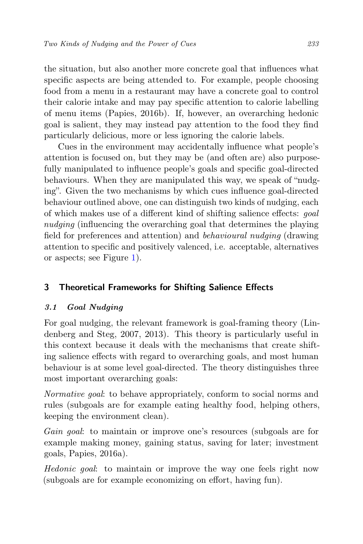the situation, but also another more concrete goal that influences what specific aspects are being attended to. For example, people choosing food from a menu in a restaurant may have a concrete goal to control their calorie intake and may pay specific attention to calorie labelling of menu items (Papies, 2016b). If, however, an overarching hedonic goal is salient, they may instead pay attention to the food they find particularly delicious, more or less ignoring the calorie labels.

Cues in the environment may accidentally influence what people's attention is focused on, but they may be (and often are) also purposefully manipulated to influence people's goals and specific goal-directed behaviours. When they are manipulated this way, we speak of "nudging". Given the two mechanisms by which cues influence goal-directed behaviour outlined above, one can distinguish two kinds of nudging, each of which makes use of a different kind of shifting salience effects: goal nudging (influencing the overarching goal that determines the playing field for preferences and attention) and behavioural nudging (drawing attention to specific and positively valenced, i.e. acceptable, alternatives or aspects; see Figure [1\)](#page-5-0).

# 3 Theoretical Frameworks for Shifting Salience Effects

## 3.1 Goal Nudging

For goal nudging, the relevant framework is goal-framing theory (Lindenberg and Steg, 2007, 2013). This theory is particularly useful in this context because it deals with the mechanisms that create shifting salience effects with regard to overarching goals, and most human behaviour is at some level goal-directed. The theory distinguishes three most important overarching goals:

Normative goal: to behave appropriately, conform to social norms and rules (subgoals are for example eating healthy food, helping others, keeping the environment clean).

Gain goal: to maintain or improve one's resources (subgoals are for example making money, gaining status, saving for later; investment goals, Papies, 2016a).

Hedonic goal: to maintain or improve the way one feels right now (subgoals are for example economizing on effort, having fun).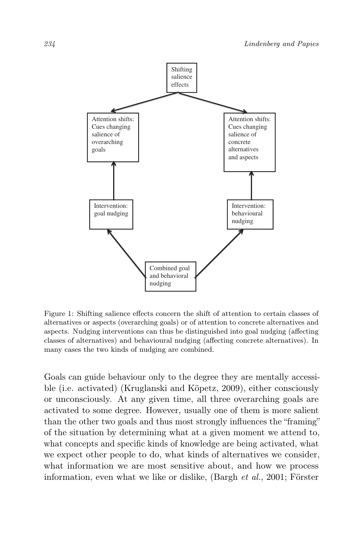<span id="page-5-0"></span>

Figure 1: Shifting salience effects concern the shift of attention to certain classes of alternatives or aspects (overarching goals) or of attention to concrete alternatives and aspects. Nudging interventions can thus be distinguished into goal nudging (affecting classes of alternatives) and behavioural nudging (affecting concrete alternatives). In many cases the two kinds of nudging are combined.

Goals can guide behaviour only to the degree they are mentally accessible (i.e. activated) (Kruglanski and Köpetz, 2009), either consciously or unconsciously. At any given time, all three overarching goals are activated to some degree. However, usually one of them is more salient than the other two goals and thus most strongly influences the "framing" of the situation by determining what at a given moment we attend to, what concepts and specific kinds of knowledge are being activated, what we expect other people to do, what kinds of alternatives we consider, what information we are most sensitive about, and how we process information, even what we like or dislike, (Bargh et al., 2001; Förster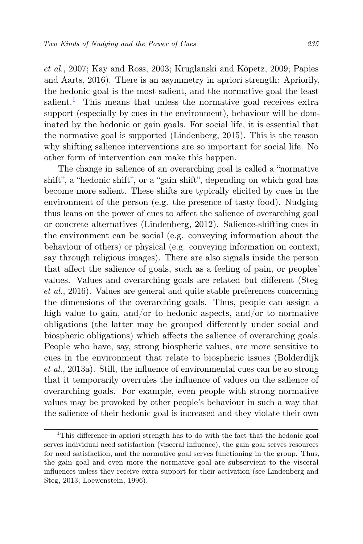et al., 2007; Kay and Ross, 2003; Kruglanski and Köpetz, 2009; Papies and Aarts, 2016). There is an asymmetry in apriori strength: Apriorily, the hedonic goal is the most salient, and the normative goal the least salient.<sup>[1](#page-6-0)</sup> This means that unless the normative goal receives extra support (especially by cues in the environment), behaviour will be dominated by the hedonic or gain goals. For social life, it is essential that the normative goal is supported (Lindenberg, 2015). This is the reason why shifting salience interventions are so important for social life. No other form of intervention can make this happen.

The change in salience of an overarching goal is called a "normative shift", a "hedonic shift", or a "gain shift", depending on which goal has become more salient. These shifts are typically elicited by cues in the environment of the person (e.g. the presence of tasty food). Nudging thus leans on the power of cues to affect the salience of overarching goal or concrete alternatives (Lindenberg, 2012). Salience-shifting cues in the environment can be social (e.g. conveying information about the behaviour of others) or physical (e.g. conveying information on context, say through religious images). There are also signals inside the person that affect the salience of goals, such as a feeling of pain, or peoples' values. Values and overarching goals are related but different (Steg et al., 2016). Values are general and quite stable preferences concerning the dimensions of the overarching goals. Thus, people can assign a high value to gain, and/or to hedonic aspects, and/or to normative obligations (the latter may be grouped differently under social and biospheric obligations) which affects the salience of overarching goals. People who have, say, strong biospheric values, are more sensitive to cues in the environment that relate to biospheric issues (Bolderdijk et al., 2013a). Still, the influence of environmental cues can be so strong that it temporarily overrules the influence of values on the salience of overarching goals. For example, even people with strong normative values may be provoked by other people's behaviour in such a way that the salience of their hedonic goal is increased and they violate their own

<span id="page-6-0"></span><sup>&</sup>lt;sup>1</sup>This difference in apriori strength has to do with the fact that the hedonic goal serves individual need satisfaction (visceral influence), the gain goal serves resources for need satisfaction, and the normative goal serves functioning in the group. Thus, the gain goal and even more the normative goal are subservient to the visceral influences unless they receive extra support for their activation (see Lindenberg and Steg, 2013; Loewenstein, 1996).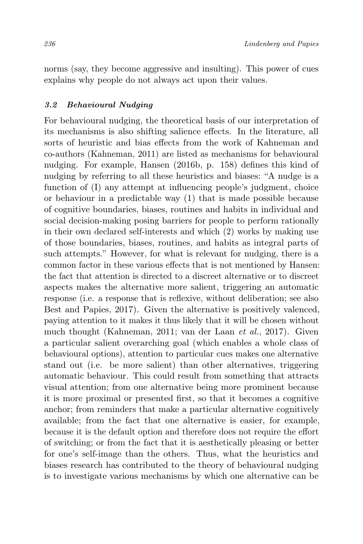norms (say, they become aggressive and insulting). This power of cues explains why people do not always act upon their values.

#### 3.2 Behavioural Nudging

For behavioural nudging, the theoretical basis of our interpretation of its mechanisms is also shifting salience effects. In the literature, all sorts of heuristic and bias effects from the work of Kahneman and co-authors (Kahneman, 2011) are listed as mechanisms for behavioural nudging. For example, Hansen (2016b, p. 158) defines this kind of nudging by referring to all these heuristics and biases: "A nudge is a function of (I) any attempt at influencing people's judgment, choice or behaviour in a predictable way (1) that is made possible because of cognitive boundaries, biases, routines and habits in individual and social decision-making posing barriers for people to perform rationally in their own declared self-interests and which (2) works by making use of those boundaries, biases, routines, and habits as integral parts of such attempts." However, for what is relevant for nudging, there is a common factor in these various effects that is not mentioned by Hansen: the fact that attention is directed to a discreet alternative or to discreet aspects makes the alternative more salient, triggering an automatic response (i.e. a response that is reflexive, without deliberation; see also Best and Papies, 2017). Given the alternative is positively valenced, paying attention to it makes it thus likely that it will be chosen without much thought (Kahneman, 2011; van der Laan et al., 2017). Given a particular salient overarching goal (which enables a whole class of behavioural options), attention to particular cues makes one alternative stand out (i.e. be more salient) than other alternatives, triggering automatic behaviour. This could result from something that attracts visual attention; from one alternative being more prominent because it is more proximal or presented first, so that it becomes a cognitive anchor; from reminders that make a particular alternative cognitively available; from the fact that one alternative is easier, for example, because it is the default option and therefore does not require the effort of switching; or from the fact that it is aesthetically pleasing or better for one's self-image than the others. Thus, what the heuristics and biases research has contributed to the theory of behavioural nudging is to investigate various mechanisms by which one alternative can be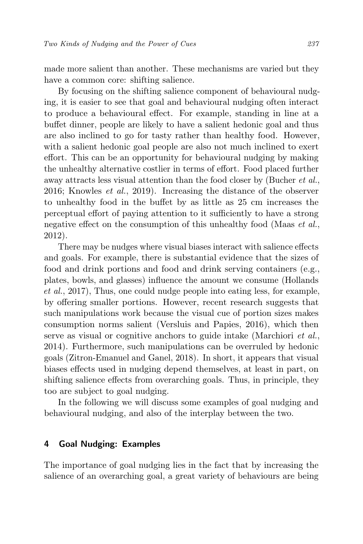made more salient than another. These mechanisms are varied but they have a common core: shifting salience.

By focusing on the shifting salience component of behavioural nudging, it is easier to see that goal and behavioural nudging often interact to produce a behavioural effect. For example, standing in line at a buffet dinner, people are likely to have a salient hedonic goal and thus are also inclined to go for tasty rather than healthy food. However, with a salient hedonic goal people are also not much inclined to exert effort. This can be an opportunity for behavioural nudging by making the unhealthy alternative costlier in terms of effort. Food placed further away attracts less visual attention than the food closer by (Bucher et al., 2016; Knowles et al., 2019). Increasing the distance of the observer to unhealthy food in the buffet by as little as 25 cm increases the perceptual effort of paying attention to it sufficiently to have a strong negative effect on the consumption of this unhealthy food (Maas *et al.*, 2012).

There may be nudges where visual biases interact with salience effects and goals. For example, there is substantial evidence that the sizes of food and drink portions and food and drink serving containers (e.g., plates, bowls, and glasses) influence the amount we consume (Hollands et al., 2017), Thus, one could nudge people into eating less, for example, by offering smaller portions. However, recent research suggests that such manipulations work because the visual cue of portion sizes makes consumption norms salient (Versluis and Papies, 2016), which then serve as visual or cognitive anchors to guide intake (Marchiori et al., 2014). Furthermore, such manipulations can be overruled by hedonic goals (Zitron-Emanuel and Ganel, 2018). In short, it appears that visual biases effects used in nudging depend themselves, at least in part, on shifting salience effects from overarching goals. Thus, in principle, they too are subject to goal nudging.

In the following we will discuss some examples of goal nudging and behavioural nudging, and also of the interplay between the two.

#### 4 Goal Nudging: Examples

The importance of goal nudging lies in the fact that by increasing the salience of an overarching goal, a great variety of behaviours are being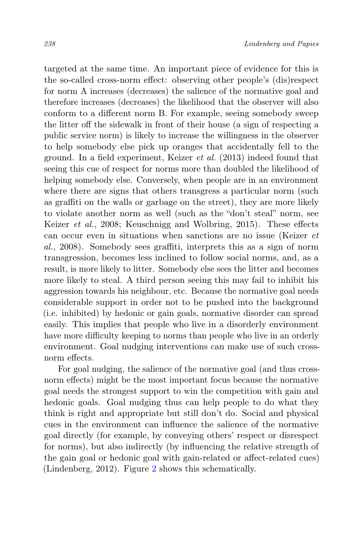targeted at the same time. An important piece of evidence for this is the so-called cross-norm effect: observing other people's (dis)respect for norm A increases (decreases) the salience of the normative goal and therefore increases (decreases) the likelihood that the observer will also conform to a different norm B. For example, seeing somebody sweep the litter off the sidewalk in front of their house (a sign of respecting a public service norm) is likely to increase the willingness in the observer to help somebody else pick up oranges that accidentally fell to the ground. In a field experiment, Keizer et al. (2013) indeed found that seeing this cue of respect for norms more than doubled the likelihood of helping somebody else. Conversely, when people are in an environment where there are signs that others transgress a particular norm (such as graffiti on the walls or garbage on the street), they are more likely to violate another norm as well (such as the "don't steal" norm, see Keizer et al., 2008; Keuschnigg and Wolbring, 2015). These effects can occur even in situations when sanctions are no issue (Keizer et al., 2008). Somebody sees graffiti, interprets this as a sign of norm transgression, becomes less inclined to follow social norms, and, as a result, is more likely to litter. Somebody else sees the litter and becomes more likely to steal. A third person seeing this may fail to inhibit his aggression towards his neighbour, etc. Because the normative goal needs considerable support in order not to be pushed into the background (i.e. inhibited) by hedonic or gain goals, normative disorder can spread easily. This implies that people who live in a disorderly environment have more difficulty keeping to norms than people who live in an orderly environment. Goal nudging interventions can make use of such crossnorm effects.

For goal nudging, the salience of the normative goal (and thus crossnorm effects) might be the most important focus because the normative goal needs the strongest support to win the competition with gain and hedonic goals. Goal nudging thus can help people to do what they think is right and appropriate but still don't do. Social and physical cues in the environment can influence the salience of the normative goal directly (for example, by conveying others' respect or disrespect for norms), but also indirectly (by influencing the relative strength of the gain goal or hedonic goal with gain-related or affect-related cues) (Lindenberg, 2012). Figure [2](#page-10-0) shows this schematically.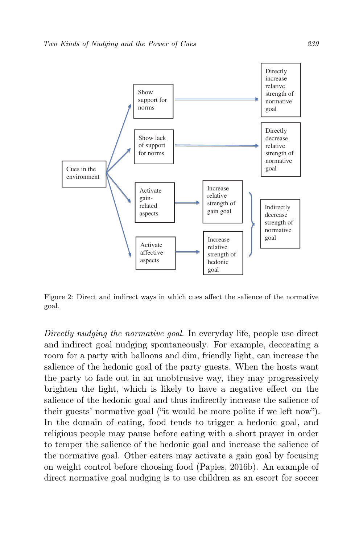<span id="page-10-0"></span>

Figure 2: Direct and indirect ways in which cues affect the salience of the normative goal.

Directly nudging the normative goal. In everyday life, people use direct and indirect goal nudging spontaneously. For example, decorating a room for a party with balloons and dim, friendly light, can increase the salience of the hedonic goal of the party guests. When the hosts want the party to fade out in an unobtrusive way, they may progressively brighten the light, which is likely to have a negative effect on the salience of the hedonic goal and thus indirectly increase the salience of their guests' normative goal ("it would be more polite if we left now"). In the domain of eating, food tends to trigger a hedonic goal, and religious people may pause before eating with a short prayer in order to temper the salience of the hedonic goal and increase the salience of the normative goal. Other eaters may activate a gain goal by focusing on weight control before choosing food (Papies, 2016b). An example of direct normative goal nudging is to use children as an escort for soccer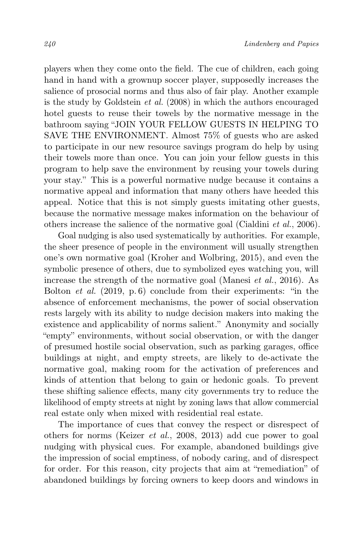players when they come onto the field. The cue of children, each going hand in hand with a grownup soccer player, supposedly increases the salience of prosocial norms and thus also of fair play. Another example is the study by Goldstein et al. (2008) in which the authors encouraged hotel guests to reuse their towels by the normative message in the bathroom saying "JOIN YOUR FELLOW GUESTS IN HELPING TO SAVE THE ENVIRONMENT. Almost 75% of guests who are asked to participate in our new resource savings program do help by using their towels more than once. You can join your fellow guests in this program to help save the environment by reusing your towels during your stay." This is a powerful normative nudge because it contains a normative appeal and information that many others have heeded this appeal. Notice that this is not simply guests imitating other guests, because the normative message makes information on the behaviour of others increase the salience of the normative goal (Cialdini et al., 2006).

Goal nudging is also used systematically by authorities. For example, the sheer presence of people in the environment will usually strengthen one's own normative goal (Kroher and Wolbring, 2015), and even the symbolic presence of others, due to symbolized eyes watching you, will increase the strength of the normative goal (Manesi et al., 2016). As Bolton et al. (2019, p. 6) conclude from their experiments: "in the absence of enforcement mechanisms, the power of social observation rests largely with its ability to nudge decision makers into making the existence and applicability of norms salient." Anonymity and socially "empty" environments, without social observation, or with the danger of presumed hostile social observation, such as parking garages, office buildings at night, and empty streets, are likely to de-activate the normative goal, making room for the activation of preferences and kinds of attention that belong to gain or hedonic goals. To prevent these shifting salience effects, many city governments try to reduce the likelihood of empty streets at night by zoning laws that allow commercial real estate only when mixed with residential real estate.

The importance of cues that convey the respect or disrespect of others for norms (Keizer et al., 2008, 2013) add cue power to goal nudging with physical cues. For example, abandoned buildings give the impression of social emptiness, of nobody caring, and of disrespect for order. For this reason, city projects that aim at "remediation" of abandoned buildings by forcing owners to keep doors and windows in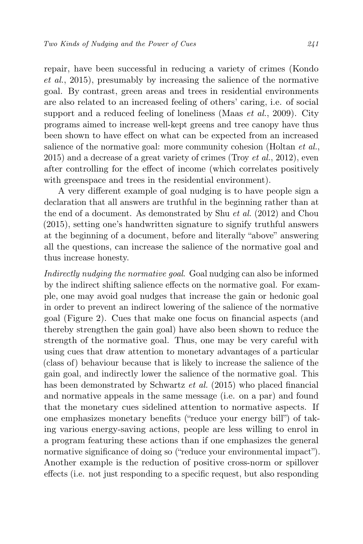repair, have been successful in reducing a variety of crimes (Kondo et al., 2015), presumably by increasing the salience of the normative goal. By contrast, green areas and trees in residential environments are also related to an increased feeling of others' caring, i.e. of social support and a reduced feeling of loneliness (Maas  $et al., 2009$ ). City programs aimed to increase well-kept greens and tree canopy have thus been shown to have effect on what can be expected from an increased salience of the normative goal: more community cohesion (Holtan  $et al.,$ 2015) and a decrease of a great variety of crimes (Troy  $et al., 2012$ ), even after controlling for the effect of income (which correlates positively with greenspace and trees in the residential environment).

A very different example of goal nudging is to have people sign a declaration that all answers are truthful in the beginning rather than at the end of a document. As demonstrated by Shu et al. (2012) and Chou (2015), setting one's handwritten signature to signify truthful answers at the beginning of a document, before and literally "above" answering all the questions, can increase the salience of the normative goal and thus increase honesty.

Indirectly nudging the normative goal. Goal nudging can also be informed by the indirect shifting salience effects on the normative goal. For example, one may avoid goal nudges that increase the gain or hedonic goal in order to prevent an indirect lowering of the salience of the normative goal (Figure 2). Cues that make one focus on financial aspects (and thereby strengthen the gain goal) have also been shown to reduce the strength of the normative goal. Thus, one may be very careful with using cues that draw attention to monetary advantages of a particular (class of) behaviour because that is likely to increase the salience of the gain goal, and indirectly lower the salience of the normative goal. This has been demonstrated by Schwartz *et al.* (2015) who placed financial and normative appeals in the same message (i.e. on a par) and found that the monetary cues sidelined attention to normative aspects. If one emphasizes monetary benefits ("reduce your energy bill") of taking various energy-saving actions, people are less willing to enrol in a program featuring these actions than if one emphasizes the general normative significance of doing so ("reduce your environmental impact"). Another example is the reduction of positive cross-norm or spillover effects (i.e. not just responding to a specific request, but also responding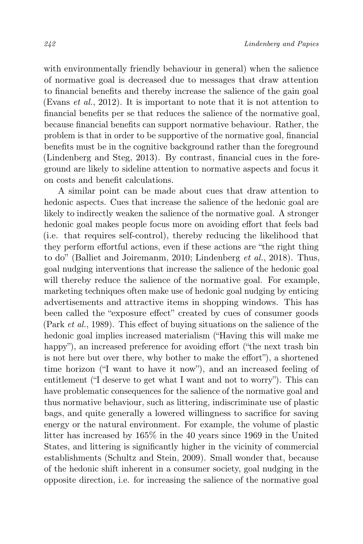with environmentally friendly behaviour in general) when the salience of normative goal is decreased due to messages that draw attention to financial benefits and thereby increase the salience of the gain goal (Evans et al., 2012). It is important to note that it is not attention to financial benefits per se that reduces the salience of the normative goal, because financial benefits can support normative behaviour. Rather, the problem is that in order to be supportive of the normative goal, financial benefits must be in the cognitive background rather than the foreground (Lindenberg and Steg, 2013). By contrast, financial cues in the foreground are likely to sideline attention to normative aspects and focus it on costs and benefit calculations.

A similar point can be made about cues that draw attention to hedonic aspects. Cues that increase the salience of the hedonic goal are likely to indirectly weaken the salience of the normative goal. A stronger hedonic goal makes people focus more on avoiding effort that feels bad (i.e. that requires self-control), thereby reducing the likelihood that they perform effortful actions, even if these actions are "the right thing to do" (Balliet and Joiremanm, 2010; Lindenberg et al., 2018). Thus, goal nudging interventions that increase the salience of the hedonic goal will thereby reduce the salience of the normative goal. For example, marketing techniques often make use of hedonic goal nudging by enticing advertisements and attractive items in shopping windows. This has been called the "exposure effect" created by cues of consumer goods (Park et al., 1989). This effect of buying situations on the salience of the hedonic goal implies increased materialism ("Having this will make me happy"), an increased preference for avoiding effort ("the next trash bin is not here but over there, why bother to make the effort"), a shortened time horizon ("I want to have it now"), and an increased feeling of entitlement ("I deserve to get what I want and not to worry"). This can have problematic consequences for the salience of the normative goal and thus normative behaviour, such as littering, indiscriminate use of plastic bags, and quite generally a lowered willingness to sacrifice for saving energy or the natural environment. For example, the volume of plastic litter has increased by 165% in the 40 years since 1969 in the United States, and littering is significantly higher in the vicinity of commercial establishments (Schultz and Stein, 2009). Small wonder that, because of the hedonic shift inherent in a consumer society, goal nudging in the opposite direction, i.e. for increasing the salience of the normative goal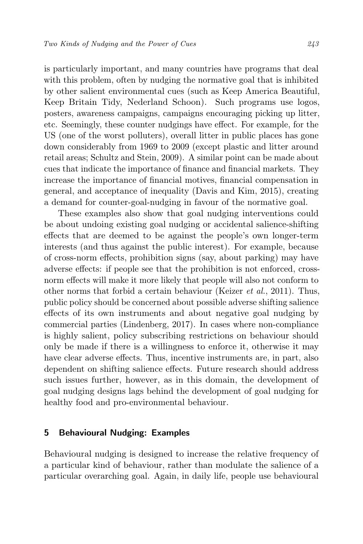is particularly important, and many countries have programs that deal with this problem, often by nudging the normative goal that is inhibited by other salient environmental cues (such as Keep America Beautiful, Keep Britain Tidy, Nederland Schoon). Such programs use logos, posters, awareness campaigns, campaigns encouraging picking up litter, etc. Seemingly, these counter nudgings have effect. For example, for the US (one of the worst polluters), overall litter in public places has gone down considerably from 1969 to 2009 (except plastic and litter around retail areas; Schultz and Stein, 2009). A similar point can be made about cues that indicate the importance of finance and financial markets. They increase the importance of financial motives, financial compensation in general, and acceptance of inequality (Davis and Kim, 2015), creating a demand for counter-goal-nudging in favour of the normative goal.

These examples also show that goal nudging interventions could be about undoing existing goal nudging or accidental salience-shifting effects that are deemed to be against the people's own longer-term interests (and thus against the public interest). For example, because of cross-norm effects, prohibition signs (say, about parking) may have adverse effects: if people see that the prohibition is not enforced, crossnorm effects will make it more likely that people will also not conform to other norms that forbid a certain behaviour (Keizer et al., 2011). Thus, public policy should be concerned about possible adverse shifting salience effects of its own instruments and about negative goal nudging by commercial parties (Lindenberg, 2017). In cases where non-compliance is highly salient, policy subscribing restrictions on behaviour should only be made if there is a willingness to enforce it, otherwise it may have clear adverse effects. Thus, incentive instruments are, in part, also dependent on shifting salience effects. Future research should address such issues further, however, as in this domain, the development of goal nudging designs lags behind the development of goal nudging for healthy food and pro-environmental behaviour.

#### 5 Behavioural Nudging: Examples

Behavioural nudging is designed to increase the relative frequency of a particular kind of behaviour, rather than modulate the salience of a particular overarching goal. Again, in daily life, people use behavioural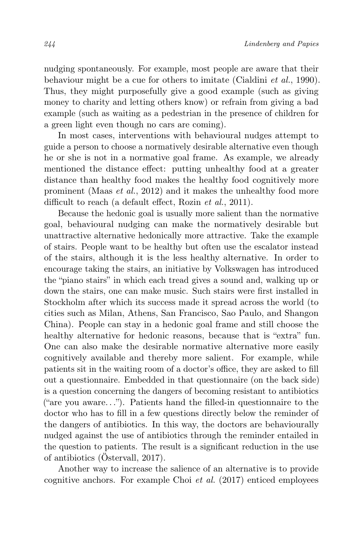nudging spontaneously. For example, most people are aware that their behaviour might be a cue for others to imitate (Cialdini et al., 1990). Thus, they might purposefully give a good example (such as giving money to charity and letting others know) or refrain from giving a bad example (such as waiting as a pedestrian in the presence of children for a green light even though no cars are coming).

In most cases, interventions with behavioural nudges attempt to guide a person to choose a normatively desirable alternative even though he or she is not in a normative goal frame. As example, we already mentioned the distance effect: putting unhealthy food at a greater distance than healthy food makes the healthy food cognitively more prominent (Maas et al., 2012) and it makes the unhealthy food more difficult to reach (a default effect, Rozin et al., 2011).

Because the hedonic goal is usually more salient than the normative goal, behavioural nudging can make the normatively desirable but unattractive alternative hedonically more attractive. Take the example of stairs. People want to be healthy but often use the escalator instead of the stairs, although it is the less healthy alternative. In order to encourage taking the stairs, an initiative by Volkswagen has introduced the "piano stairs" in which each tread gives a sound and, walking up or down the stairs, one can make music. Such stairs were first installed in Stockholm after which its success made it spread across the world (to cities such as Milan, Athens, San Francisco, Sao Paulo, and Shangon China). People can stay in a hedonic goal frame and still choose the healthy alternative for hedonic reasons, because that is "extra" fun. One can also make the desirable normative alternative more easily cognitively available and thereby more salient. For example, while patients sit in the waiting room of a doctor's office, they are asked to fill out a questionnaire. Embedded in that questionnaire (on the back side) is a question concerning the dangers of becoming resistant to antibiotics ("are you aware. . ."). Patients hand the filled-in questionnaire to the doctor who has to fill in a few questions directly below the reminder of the dangers of antibiotics. In this way, the doctors are behaviourally nudged against the use of antibiotics through the reminder entailed in the question to patients. The result is a significant reduction in the use of antibiotics (Östervall, 2017).

Another way to increase the salience of an alternative is to provide cognitive anchors. For example Choi et al. (2017) enticed employees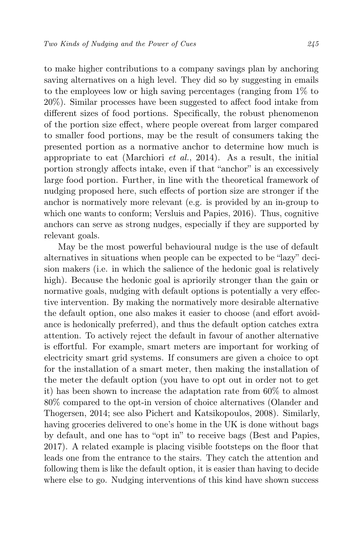to make higher contributions to a company savings plan by anchoring saving alternatives on a high level. They did so by suggesting in emails to the employees low or high saving percentages (ranging from 1% to 20%). Similar processes have been suggested to affect food intake from different sizes of food portions. Specifically, the robust phenomenon of the portion size effect, where people overeat from larger compared to smaller food portions, may be the result of consumers taking the presented portion as a normative anchor to determine how much is appropriate to eat (Marchiori  $et \ al.,\ 2014$ ). As a result, the initial portion strongly affects intake, even if that "anchor" is an excessively large food portion. Further, in line with the theoretical framework of nudging proposed here, such effects of portion size are stronger if the anchor is normatively more relevant (e.g. is provided by an in-group to which one wants to conform; Versluis and Papies, 2016). Thus, cognitive anchors can serve as strong nudges, especially if they are supported by relevant goals.

May be the most powerful behavioural nudge is the use of default alternatives in situations when people can be expected to be "lazy" decision makers (i.e. in which the salience of the hedonic goal is relatively high). Because the hedonic goal is apriorily stronger than the gain or normative goals, nudging with default options is potentially a very effective intervention. By making the normatively more desirable alternative the default option, one also makes it easier to choose (and effort avoidance is hedonically preferred), and thus the default option catches extra attention. To actively reject the default in favour of another alternative is effortful. For example, smart meters are important for working of electricity smart grid systems. If consumers are given a choice to opt for the installation of a smart meter, then making the installation of the meter the default option (you have to opt out in order not to get it) has been shown to increase the adaptation rate from 60% to almost 80% compared to the opt-in version of choice alternatives (Olander and Thogersen, 2014; see also Pichert and Katsikopoulos, 2008). Similarly, having groceries delivered to one's home in the UK is done without bags by default, and one has to "opt in" to receive bags (Best and Papies, 2017). A related example is placing visible footsteps on the floor that leads one from the entrance to the stairs. They catch the attention and following them is like the default option, it is easier than having to decide where else to go. Nudging interventions of this kind have shown success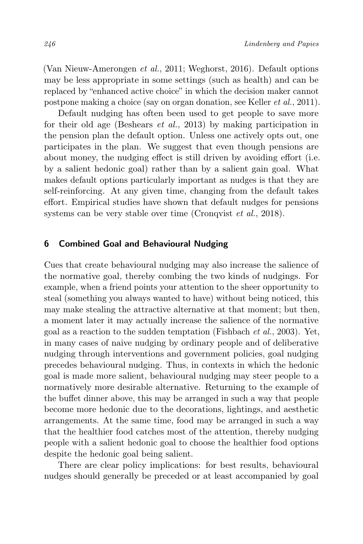(Van Nieuw-Amerongen et al., 2011; Weghorst, 2016). Default options may be less appropriate in some settings (such as health) and can be replaced by "enhanced active choice" in which the decision maker cannot postpone making a choice (say on organ donation, see Keller et al., 2011).

Default nudging has often been used to get people to save more for their old age (Beshears et al., 2013) by making participation in the pension plan the default option. Unless one actively opts out, one participates in the plan. We suggest that even though pensions are about money, the nudging effect is still driven by avoiding effort (i.e. by a salient hedonic goal) rather than by a salient gain goal. What makes default options particularly important as nudges is that they are self-reinforcing. At any given time, changing from the default takes effort. Empirical studies have shown that default nudges for pensions systems can be very stable over time (Cronqvist *et al.*, 2018).

## 6 Combined Goal and Behavioural Nudging

Cues that create behavioural nudging may also increase the salience of the normative goal, thereby combing the two kinds of nudgings. For example, when a friend points your attention to the sheer opportunity to steal (something you always wanted to have) without being noticed, this may make stealing the attractive alternative at that moment; but then, a moment later it may actually increase the salience of the normative goal as a reaction to the sudden temptation (Fishbach et al., 2003). Yet, in many cases of naive nudging by ordinary people and of deliberative nudging through interventions and government policies, goal nudging precedes behavioural nudging. Thus, in contexts in which the hedonic goal is made more salient, behavioural nudging may steer people to a normatively more desirable alternative. Returning to the example of the buffet dinner above, this may be arranged in such a way that people become more hedonic due to the decorations, lightings, and aesthetic arrangements. At the same time, food may be arranged in such a way that the healthier food catches most of the attention, thereby nudging people with a salient hedonic goal to choose the healthier food options despite the hedonic goal being salient.

There are clear policy implications: for best results, behavioural nudges should generally be preceded or at least accompanied by goal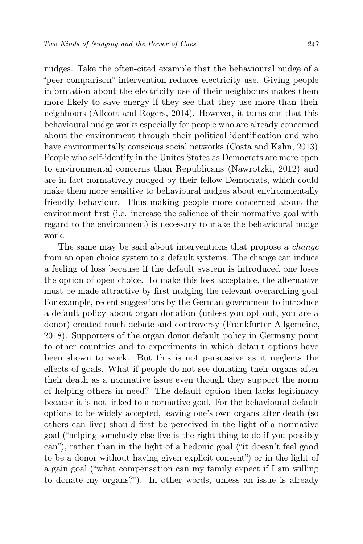nudges. Take the often-cited example that the behavioural nudge of a "peer comparison" intervention reduces electricity use. Giving people information about the electricity use of their neighbours makes them more likely to save energy if they see that they use more than their neighbours (Allcott and Rogers, 2014). However, it turns out that this behavioural nudge works especially for people who are already concerned about the environment through their political identification and who have environmentally conscious social networks (Costa and Kahn, 2013). People who self-identify in the Unites States as Democrats are more open to environmental concerns than Republicans (Nawrotzki, 2012) and are in fact normatively nudged by their fellow Democrats, which could make them more sensitive to behavioural nudges about environmentally friendly behaviour. Thus making people more concerned about the environment first (i.e. increase the salience of their normative goal with regard to the environment) is necessary to make the behavioural nudge work.

The same may be said about interventions that propose a *change* from an open choice system to a default systems. The change can induce a feeling of loss because if the default system is introduced one loses the option of open choice. To make this loss acceptable, the alternative must be made attractive by first nudging the relevant overarching goal. For example, recent suggestions by the German government to introduce a default policy about organ donation (unless you opt out, you are a donor) created much debate and controversy (Frankfurter Allgemeine, 2018). Supporters of the organ donor default policy in Germany point to other countries and to experiments in which default options have been shown to work. But this is not persuasive as it neglects the effects of goals. What if people do not see donating their organs after their death as a normative issue even though they support the norm of helping others in need? The default option then lacks legitimacy because it is not linked to a normative goal. For the behavioural default options to be widely accepted, leaving one's own organs after death (so others can live) should first be perceived in the light of a normative goal ("helping somebody else live is the right thing to do if you possibly can"), rather than in the light of a hedonic goal ("it doesn't feel good to be a donor without having given explicit consent") or in the light of a gain goal ("what compensation can my family expect if I am willing to donate my organs?"). In other words, unless an issue is already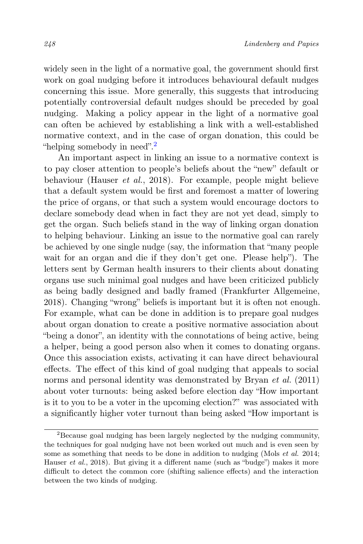widely seen in the light of a normative goal, the government should first work on goal nudging before it introduces behavioural default nudges concerning this issue. More generally, this suggests that introducing potentially controversial default nudges should be preceded by goal nudging. Making a policy appear in the light of a normative goal can often be achieved by establishing a link with a well-established normative context, and in the case of organ donation, this could be "helping somebody in need".<sup>[2](#page-19-0)</sup>

An important aspect in linking an issue to a normative context is to pay closer attention to people's beliefs about the "new" default or behaviour (Hauser et al., 2018). For example, people might believe that a default system would be first and foremost a matter of lowering the price of organs, or that such a system would encourage doctors to declare somebody dead when in fact they are not yet dead, simply to get the organ. Such beliefs stand in the way of linking organ donation to helping behaviour. Linking an issue to the normative goal can rarely be achieved by one single nudge (say, the information that "many people wait for an organ and die if they don't get one. Please help"). The letters sent by German health insurers to their clients about donating organs use such minimal goal nudges and have been criticized publicly as being badly designed and badly framed (Frankfurter Allgemeine, 2018). Changing "wrong" beliefs is important but it is often not enough. For example, what can be done in addition is to prepare goal nudges about organ donation to create a positive normative association about "being a donor", an identity with the connotations of being active, being a helper, being a good person also when it comes to donating organs. Once this association exists, activating it can have direct behavioural effects. The effect of this kind of goal nudging that appeals to social norms and personal identity was demonstrated by Bryan *et al.* (2011) about voter turnouts: being asked before election day "How important is it to you to be a voter in the upcoming election?" was associated with a significantly higher voter turnout than being asked "How important is

<span id="page-19-0"></span><sup>2</sup>Because goal nudging has been largely neglected by the nudging community, the techniques for goal nudging have not been worked out much and is even seen by some as something that needs to be done in addition to nudging (Mols *et al.* 2014; Hauser et al., 2018). But giving it a different name (such as "budge") makes it more difficult to detect the common core (shifting salience effects) and the interaction between the two kinds of nudging.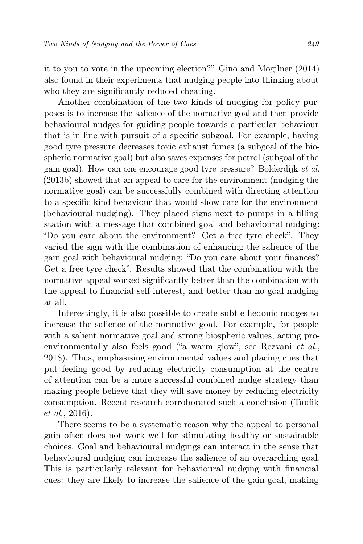it to you to vote in the upcoming election?" Gino and Mogilner (2014) also found in their experiments that nudging people into thinking about who they are significantly reduced cheating.

Another combination of the two kinds of nudging for policy purposes is to increase the salience of the normative goal and then provide behavioural nudges for guiding people towards a particular behaviour that is in line with pursuit of a specific subgoal. For example, having good tyre pressure decreases toxic exhaust fumes (a subgoal of the biospheric normative goal) but also saves expenses for petrol (subgoal of the gain goal). How can one encourage good tyre pressure? Bolderdijk et al. (2013b) showed that an appeal to care for the environment (nudging the normative goal) can be successfully combined with directing attention to a specific kind behaviour that would show care for the environment (behavioural nudging). They placed signs next to pumps in a filling station with a message that combined goal and behavioural nudging: "Do you care about the environment? Get a free tyre check". They varied the sign with the combination of enhancing the salience of the gain goal with behavioural nudging: "Do you care about your finances? Get a free tyre check". Results showed that the combination with the normative appeal worked significantly better than the combination with the appeal to financial self-interest, and better than no goal nudging at all.

Interestingly, it is also possible to create subtle hedonic nudges to increase the salience of the normative goal. For example, for people with a salient normative goal and strong biospheric values, acting proenvironmentally also feels good ("a warm glow", see Rezvani et al., 2018). Thus, emphasising environmental values and placing cues that put feeling good by reducing electricity consumption at the centre of attention can be a more successful combined nudge strategy than making people believe that they will save money by reducing electricity consumption. Recent research corroborated such a conclusion (Taufik et al., 2016).

There seems to be a systematic reason why the appeal to personal gain often does not work well for stimulating healthy or sustainable choices. Goal and behavioural nudgings can interact in the sense that behavioural nudging can increase the salience of an overarching goal. This is particularly relevant for behavioural nudging with financial cues: they are likely to increase the salience of the gain goal, making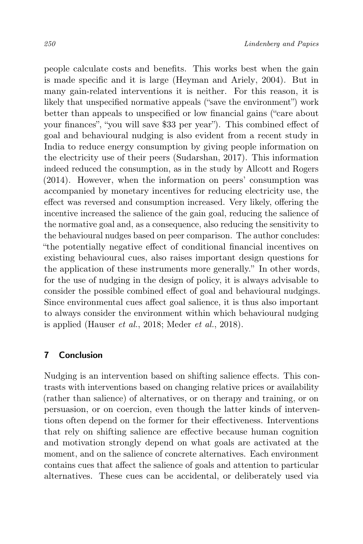people calculate costs and benefits. This works best when the gain is made specific and it is large (Heyman and Ariely, 2004). But in many gain-related interventions it is neither. For this reason, it is likely that unspecified normative appeals ("save the environment") work better than appeals to unspecified or low financial gains ("care about your finances", "you will save \$33 per year"). This combined effect of goal and behavioural nudging is also evident from a recent study in India to reduce energy consumption by giving people information on the electricity use of their peers (Sudarshan, 2017). This information indeed reduced the consumption, as in the study by Allcott and Rogers (2014). However, when the information on peers' consumption was accompanied by monetary incentives for reducing electricity use, the effect was reversed and consumption increased. Very likely, offering the incentive increased the salience of the gain goal, reducing the salience of the normative goal and, as a consequence, also reducing the sensitivity to the behavioural nudges based on peer comparison. The author concludes: "the potentially negative effect of conditional financial incentives on existing behavioural cues, also raises important design questions for the application of these instruments more generally." In other words, for the use of nudging in the design of policy, it is always advisable to consider the possible combined effect of goal and behavioural nudgings. Since environmental cues affect goal salience, it is thus also important to always consider the environment within which behavioural nudging is applied (Hauser et al., 2018; Meder et al., 2018).

#### 7 Conclusion

Nudging is an intervention based on shifting salience effects. This contrasts with interventions based on changing relative prices or availability (rather than salience) of alternatives, or on therapy and training, or on persuasion, or on coercion, even though the latter kinds of interventions often depend on the former for their effectiveness. Interventions that rely on shifting salience are effective because human cognition and motivation strongly depend on what goals are activated at the moment, and on the salience of concrete alternatives. Each environment contains cues that affect the salience of goals and attention to particular alternatives. These cues can be accidental, or deliberately used via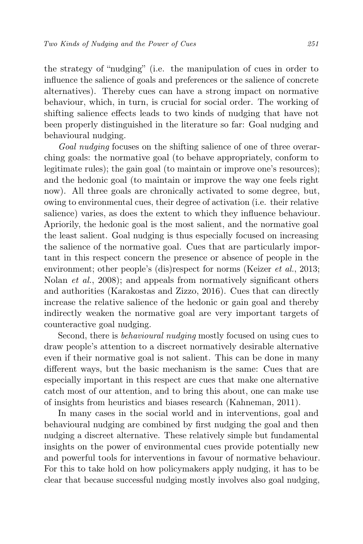the strategy of "nudging" (i.e. the manipulation of cues in order to influence the salience of goals and preferences or the salience of concrete alternatives). Thereby cues can have a strong impact on normative behaviour, which, in turn, is crucial for social order. The working of shifting salience effects leads to two kinds of nudging that have not been properly distinguished in the literature so far: Goal nudging and behavioural nudging.

Goal nudging focuses on the shifting salience of one of three overarching goals: the normative goal (to behave appropriately, conform to legitimate rules); the gain goal (to maintain or improve one's resources); and the hedonic goal (to maintain or improve the way one feels right now). All three goals are chronically activated to some degree, but, owing to environmental cues, their degree of activation (i.e. their relative salience) varies, as does the extent to which they influence behaviour. Apriorily, the hedonic goal is the most salient, and the normative goal the least salient. Goal nudging is thus especially focused on increasing the salience of the normative goal. Cues that are particularly important in this respect concern the presence or absence of people in the environment; other people's (dis)respect for norms (Keizer *et al.*, 2013; Nolan *et al.*, 2008); and appeals from normatively significant others and authorities (Karakostas and Zizzo, 2016). Cues that can directly increase the relative salience of the hedonic or gain goal and thereby indirectly weaken the normative goal are very important targets of counteractive goal nudging.

Second, there is *behavioural nudging* mostly focused on using cues to draw people's attention to a discreet normatively desirable alternative even if their normative goal is not salient. This can be done in many different ways, but the basic mechanism is the same: Cues that are especially important in this respect are cues that make one alternative catch most of our attention, and to bring this about, one can make use of insights from heuristics and biases research (Kahneman, 2011).

In many cases in the social world and in interventions, goal and behavioural nudging are combined by first nudging the goal and then nudging a discreet alternative. These relatively simple but fundamental insights on the power of environmental cues provide potentially new and powerful tools for interventions in favour of normative behaviour. For this to take hold on how policymakers apply nudging, it has to be clear that because successful nudging mostly involves also goal nudging,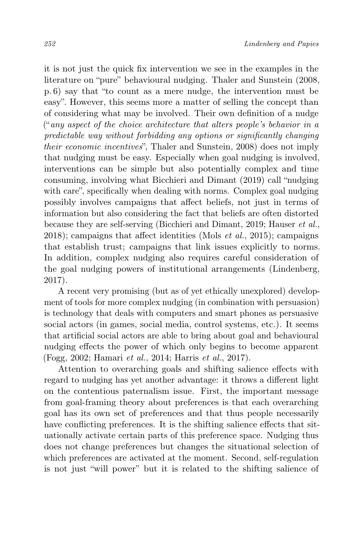it is not just the quick fix intervention we see in the examples in the literature on "pure" behavioural nudging. Thaler and Sunstein (2008, p. 6) say that "to count as a mere nudge, the intervention must be easy". However, this seems more a matter of selling the concept than of considering what may be involved. Their own definition of a nudge ("any aspect of the choice architecture that alters people's behavior in a predictable way without forbidding any options or significantly changing their economic incentives", Thaler and Sunstein, 2008) does not imply that nudging must be easy. Especially when goal nudging is involved, interventions can be simple but also potentially complex and time consuming, involving what Bicchieri and Dimant (2019) call "nudging with care", specifically when dealing with norms. Complex goal nudging possibly involves campaigns that affect beliefs, not just in terms of information but also considering the fact that beliefs are often distorted because they are self-serving (Bicchieri and Dimant, 2019; Hauser et al., 2018); campaigns that affect identities (Mols  $et al., 2015$ ); campaigns that establish trust; campaigns that link issues explicitly to norms. In addition, complex nudging also requires careful consideration of the goal nudging powers of institutional arrangements (Lindenberg, 2017).

A recent very promising (but as of yet ethically unexplored) development of tools for more complex nudging (in combination with persuasion) is technology that deals with computers and smart phones as persuasive social actors (in games, social media, control systems, etc.). It seems that artificial social actors are able to bring about goal and behavioural nudging effects the power of which only begins to become apparent (Fogg, 2002; Hamari et al., 2014; Harris et al., 2017).

Attention to overarching goals and shifting salience effects with regard to nudging has yet another advantage: it throws a different light on the contentious paternalism issue. First, the important message from goal-framing theory about preferences is that each overarching goal has its own set of preferences and that thus people necessarily have conflicting preferences. It is the shifting salience effects that situationally activate certain parts of this preference space. Nudging thus does not change preferences but changes the situational selection of which preferences are activated at the moment. Second, self-regulation is not just "will power" but it is related to the shifting salience of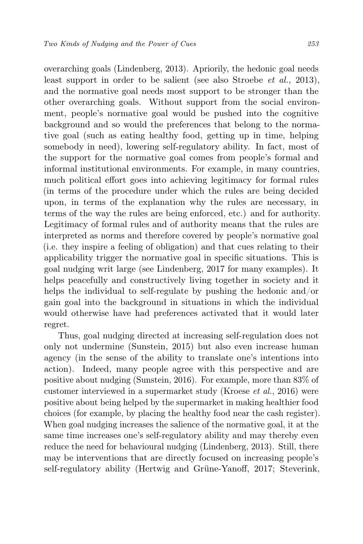overarching goals (Lindenberg, 2013). Apriorily, the hedonic goal needs least support in order to be salient (see also Stroebe et al., 2013), and the normative goal needs most support to be stronger than the other overarching goals. Without support from the social environment, people's normative goal would be pushed into the cognitive background and so would the preferences that belong to the normative goal (such as eating healthy food, getting up in time, helping somebody in need), lowering self-regulatory ability. In fact, most of the support for the normative goal comes from people's formal and informal institutional environments. For example, in many countries, much political effort goes into achieving legitimacy for formal rules (in terms of the procedure under which the rules are being decided upon, in terms of the explanation why the rules are necessary, in terms of the way the rules are being enforced, etc.) and for authority. Legitimacy of formal rules and of authority means that the rules are interpreted as norms and therefore covered by people's normative goal (i.e. they inspire a feeling of obligation) and that cues relating to their applicability trigger the normative goal in specific situations. This is goal nudging writ large (see Lindenberg, 2017 for many examples). It helps peacefully and constructively living together in society and it helps the individual to self-regulate by pushing the hedonic and/or gain goal into the background in situations in which the individual would otherwise have had preferences activated that it would later regret.

Thus, goal nudging directed at increasing self-regulation does not only not undermine (Sunstein, 2015) but also even increase human agency (in the sense of the ability to translate one's intentions into action). Indeed, many people agree with this perspective and are positive about nudging (Sunstein, 2016). For example, more than 83% of customer interviewed in a supermarket study (Kroese et al., 2016) were positive about being helped by the supermarket in making healthier food choices (for example, by placing the healthy food near the cash register). When goal nudging increases the salience of the normative goal, it at the same time increases one's self-regulatory ability and may thereby even reduce the need for behavioural nudging (Lindenberg, 2013). Still, there may be interventions that are directly focused on increasing people's self-regulatory ability (Hertwig and Grüne-Yanoff, 2017; Steverink,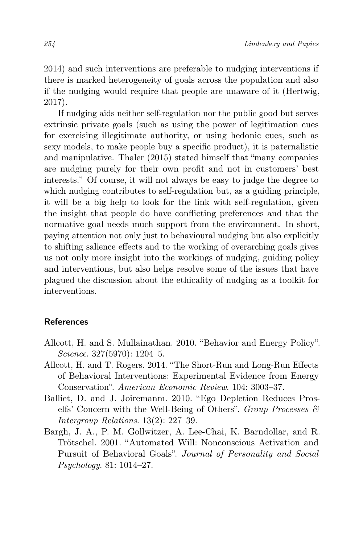2014) and such interventions are preferable to nudging interventions if there is marked heterogeneity of goals across the population and also if the nudging would require that people are unaware of it (Hertwig, 2017).

If nudging aids neither self-regulation nor the public good but serves extrinsic private goals (such as using the power of legitimation cues for exercising illegitimate authority, or using hedonic cues, such as sexy models, to make people buy a specific product), it is paternalistic and manipulative. Thaler (2015) stated himself that "many companies are nudging purely for their own profit and not in customers' best interests." Of course, it will not always be easy to judge the degree to which nudging contributes to self-regulation but, as a guiding principle, it will be a big help to look for the link with self-regulation, given the insight that people do have conflicting preferences and that the normative goal needs much support from the environment. In short, paying attention not only just to behavioural nudging but also explicitly to shifting salience effects and to the working of overarching goals gives us not only more insight into the workings of nudging, guiding policy and interventions, but also helps resolve some of the issues that have plagued the discussion about the ethicality of nudging as a toolkit for interventions.

## References

- Allcott, H. and S. Mullainathan. 2010. "Behavior and Energy Policy". Science. 327(5970): 1204–5.
- Allcott, H. and T. Rogers. 2014. "The Short-Run and Long-Run Effects of Behavioral Interventions: Experimental Evidence from Energy Conservation". American Economic Review. 104: 3003–37.
- Balliet, D. and J. Joiremanm. 2010. "Ego Depletion Reduces Proselfs' Concern with the Well-Being of Others". Group Processes  $\mathcal{B}$ Intergroup Relations. 13(2): 227–39.
- Bargh, J. A., P. M. Gollwitzer, A. Lee-Chai, K. Barndollar, and R. Trötschel. 2001. "Automated Will: Nonconscious Activation and Pursuit of Behavioral Goals". Journal of Personality and Social Psychology. 81: 1014–27.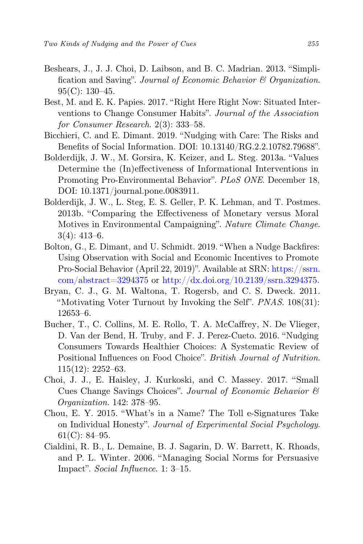- Beshears, J., J. J. Choi, D. Laibson, and B. C. Madrian. 2013. "Simplification and Saving". Journal of Economic Behavior & Organization.  $95(C): 130-45.$
- Best, M. and E. K. Papies. 2017. "Right Here Right Now: Situated Interventions to Change Consumer Habits". Journal of the Association for Consumer Research. 2(3): 333–58.
- Bicchieri, C. and E. Dimant. 2019. "Nudging with Care: The Risks and Benefits of Social Information. DOI: 10.13140/RG.2.2.10782.79688".
- Bolderdijk, J. W., M. Gorsira, K. Keizer, and L. Steg. 2013a. "Values Determine the (In)effectiveness of Informational Interventions in Promoting Pro-Environmental Behavior". PLoS ONE. December 18, DOI: 10.1371/journal.pone.0083911.
- Bolderdijk, J. W., L. Steg, E. S. Geller, P. K. Lehman, and T. Postmes. 2013b. "Comparing the Effectiveness of Monetary versus Moral Motives in Environmental Campaigning". Nature Climate Change. 3(4): 413–6.
- Bolton, G., E. Dimant, and U. Schmidt. 2019. "When a Nudge Backfires: Using Observation with Social and Economic Incentives to Promote Pro-Social Behavior (April 22, 2019)". Available at SRN: [https://ssrn.](https://ssrn.com/abstract=3294375) [com/abstract=3294375](https://ssrn.com/abstract=3294375) or [http://dx.doi.org/10.2139/ssrn.3294375.](http://dx.doi.org/10.2139/ssrn.3294375)
- Bryan, C. J., G. M. Waltona, T. Rogersb, and C. S. Dweck. 2011. "Motivating Voter Turnout by Invoking the Self". PNAS. 108(31): 12653–6.
- Bucher, T., C. Collins, M. E. Rollo, T. A. McCaffrey, N. De Vlieger, D. Van der Bend, H. Truby, and F. J. Perez-Cueto. 2016. "Nudging Consumers Towards Healthier Choices: A Systematic Review of Positional Influences on Food Choice". British Journal of Nutrition. 115(12): 2252–63.
- Choi, J. J., E. Haisley, J. Kurkoski, and C. Massey. 2017. "Small Cues Change Savings Choices". Journal of Economic Behavior & Organization. 142: 378–95.
- Chou, E. Y. 2015. "What's in a Name? The Toll e-Signatures Take on Individual Honesty". Journal of Experimental Social Psychology. 61(C): 84–95.
- Cialdini, R. B., L. Demaine, B. J. Sagarin, D. W. Barrett, K. Rhoads, and P. L. Winter. 2006. "Managing Social Norms for Persuasive Impact". Social Influence. 1: 3–15.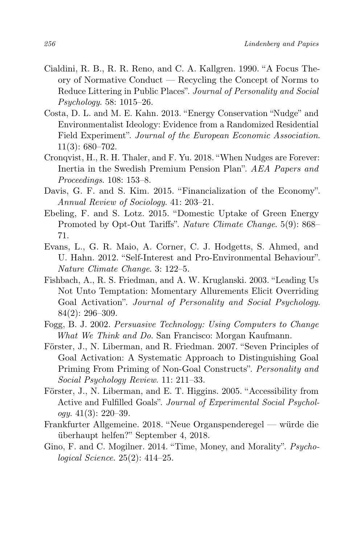- Cialdini, R. B., R. R. Reno, and C. A. Kallgren. 1990. "A Focus Theory of Normative Conduct — Recycling the Concept of Norms to Reduce Littering in Public Places". Journal of Personality and Social Psychology. 58: 1015–26.
- Costa, D. L. and M. E. Kahn. 2013. "Energy Conservation "Nudge" and Environmentalist Ideology: Evidence from a Randomized Residential Field Experiment". Journal of the European Economic Association. 11(3): 680–702.
- Cronqvist, H., R. H. Thaler, and F. Yu. 2018. "When Nudges are Forever: Inertia in the Swedish Premium Pension Plan". AEA Papers and Proceedings. 108: 153–8.
- Davis, G. F. and S. Kim. 2015. "Financialization of the Economy". Annual Review of Sociology. 41: 203–21.
- Ebeling, F. and S. Lotz. 2015. "Domestic Uptake of Green Energy Promoted by Opt-Out Tariffs". Nature Climate Change. 5(9): 868– 71.
- Evans, L., G. R. Maio, A. Corner, C. J. Hodgetts, S. Ahmed, and U. Hahn. 2012. "Self-Interest and Pro-Environmental Behaviour". Nature Climate Change. 3: 122–5.
- Fishbach, A., R. S. Friedman, and A. W. Kruglanski. 2003. "Leading Us Not Unto Temptation: Momentary Allurements Elicit Overriding Goal Activation". Journal of Personality and Social Psychology. 84(2): 296–309.
- Fogg, B. J. 2002. Persuasive Technology: Using Computers to Change What We Think and Do. San Francisco: Morgan Kaufmann.
- Förster, J., N. Liberman, and R. Friedman. 2007. "Seven Principles of Goal Activation: A Systematic Approach to Distinguishing Goal Priming From Priming of Non-Goal Constructs". Personality and Social Psychology Review. 11: 211–33.
- Förster, J., N. Liberman, and E. T. Higgins. 2005. "Accessibility from Active and Fulfilled Goals". Journal of Experimental Social Psychology.  $41(3)$ :  $220-39$ .
- Frankfurter Allgemeine. 2018. "Neue Organspenderegel würde die überhaupt helfen?" September 4, 2018.
- Gino, F. and C. Mogilner. 2014. "Time, Money, and Morality". *Psycho*logical Science. 25(2): 414–25.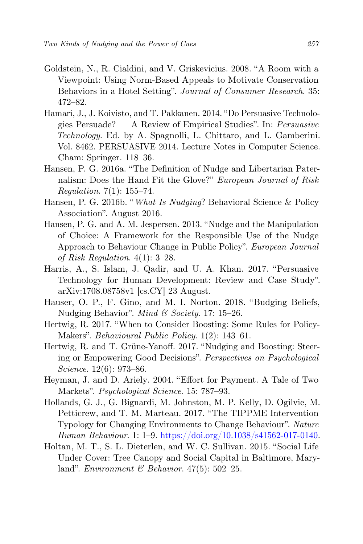- Goldstein, N., R. Cialdini, and V. Griskevicius. 2008. "A Room with a Viewpoint: Using Norm-Based Appeals to Motivate Conservation Behaviors in a Hotel Setting". Journal of Consumer Research. 35: 472–82.
- Hamari, J., J. Koivisto, and T. Pakkanen. 2014. "Do Persuasive Technologies Persuade? — A Review of Empirical Studies". In: Persuasive Technology. Ed. by A. Spagnolli, L. Chittaro, and L. Gamberini. Vol. 8462. PERSUASIVE 2014. Lecture Notes in Computer Science. Cham: Springer. 118–36.
- Hansen, P. G. 2016a. "The Definition of Nudge and Libertarian Paternalism: Does the Hand Fit the Glove?" European Journal of Risk Regulation. 7(1): 155–74.
- Hansen, P. G. 2016b. "What Is Nudging? Behavioral Science & Policy Association". August 2016.
- Hansen, P. G. and A. M. Jespersen. 2013. "Nudge and the Manipulation of Choice: A Framework for the Responsible Use of the Nudge Approach to Behaviour Change in Public Policy". European Journal of Risk Regulation. 4(1): 3–28.
- Harris, A., S. Islam, J. Qadir, and U. A. Khan. 2017. "Persuasive Technology for Human Development: Review and Case Study". arXiv:1708.08758v1 [cs.CY] 23 August.
- Hauser, O. P., F. Gino, and M. I. Norton. 2018. "Budging Beliefs, Nudging Behavior". *Mind & Society.* 17: 15–26.
- Hertwig, R. 2017. "When to Consider Boosting: Some Rules for Policy-Makers". Behavioural Public Policy. 1(2): 143–61.
- Hertwig, R. and T. Grüne-Yanoff. 2017. "Nudging and Boosting: Steering or Empowering Good Decisions". Perspectives on Psychological Science. 12(6): 973–86.
- Heyman, J. and D. Ariely. 2004. "Effort for Payment. A Tale of Two Markets". *Psychological Science*. 15: 787–93.
- Hollands, G. J., G. Bignardi, M. Johnston, M. P. Kelly, D. Ogilvie, M. Petticrew, and T. M. Marteau. 2017. "The TIPPME Intervention Typology for Changing Environments to Change Behaviour". Nature Human Behaviour. 1: 1–9. [https://doi.org/10.1038/s41562-017-0140.](https://doi.org/10.1038/s41562-017-0140)
- Holtan, M. T., S. L. Dieterlen, and W. C. Sullivan. 2015. "Social Life Under Cover: Tree Canopy and Social Capital in Baltimore, Maryland". Environment & Behavior.  $47(5)$ :  $502-25$ .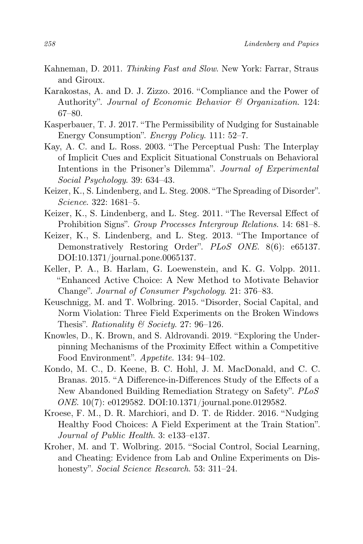- Kahneman, D. 2011. Thinking Fast and Slow. New York: Farrar, Straus and Giroux.
- Karakostas, A. and D. J. Zizzo. 2016. "Compliance and the Power of Authority". Journal of Economic Behavior & Organization. 124: 67–80.
- Kasperbauer, T. J. 2017. "The Permissibility of Nudging for Sustainable Energy Consumption". Energy Policy. 111: 52–7.
- Kay, A. C. and L. Ross. 2003. "The Perceptual Push: The Interplay of Implicit Cues and Explicit Situational Construals on Behavioral Intentions in the Prisoner's Dilemma". Journal of Experimental Social Psychology. 39: 634–43.
- Keizer, K., S. Lindenberg, and L. Steg. 2008. "The Spreading of Disorder". Science. 322: 1681–5.
- Keizer, K., S. Lindenberg, and L. Steg. 2011. "The Reversal Effect of Prohibition Signs". Group Processes Intergroup Relations. 14: 681–8.
- Keizer, K., S. Lindenberg, and L. Steg. 2013. "The Importance of Demonstratively Restoring Order". PLoS ONE. 8(6): e65137. DOI:10.1371/journal.pone.0065137.
- Keller, P. A., B. Harlam, G. Loewenstein, and K. G. Volpp. 2011. "Enhanced Active Choice: A New Method to Motivate Behavior Change". Journal of Consumer Psychology. 21: 376–83.
- Keuschnigg, M. and T. Wolbring. 2015. "Disorder, Social Capital, and Norm Violation: Three Field Experiments on the Broken Windows Thesis". Rationality & Society. 27: 96–126.
- Knowles, D., K. Brown, and S. Aldrovandi. 2019. "Exploring the Underpinning Mechanisms of the Proximity Effect within a Competitive Food Environment". Appetite. 134: 94–102.
- Kondo, M. C., D. Keene, B. C. Hohl, J. M. MacDonald, and C. C. Branas. 2015. "A Difference-in-Differences Study of the Effects of a New Abandoned Building Remediation Strategy on Safety". PLoS ONE. 10(7): e0129582. DOI:10.1371/journal.pone.0129582.
- Kroese, F. M., D. R. Marchiori, and D. T. de Ridder. 2016. "Nudging Healthy Food Choices: A Field Experiment at the Train Station". Journal of Public Health. 3: e133–e137.
- Kroher, M. and T. Wolbring. 2015. "Social Control, Social Learning, and Cheating: Evidence from Lab and Online Experiments on Dishonesty". Social Science Research. 53: 311–24.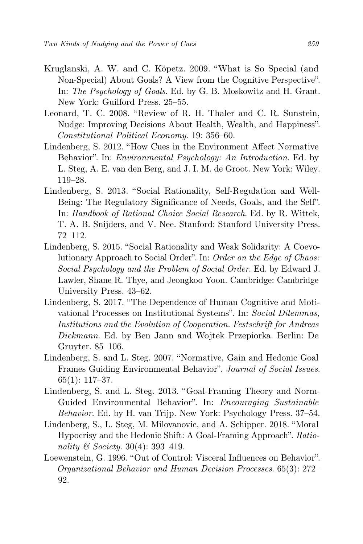- Kruglanski, A. W. and C. Köpetz. 2009. "What is So Special (and Non-Special) About Goals? A View from the Cognitive Perspective". In: The Psychology of Goals. Ed. by G. B. Moskowitz and H. Grant. New York: Guilford Press. 25–55.
- Leonard, T. C. 2008. "Review of R. H. Thaler and C. R. Sunstein, Nudge: Improving Decisions About Health, Wealth, and Happiness". Constitutional Political Economy. 19: 356–60.
- Lindenberg, S. 2012. "How Cues in the Environment Affect Normative Behavior". In: Environmental Psychology: An Introduction. Ed. by L. Steg, A. E. van den Berg, and J. I. M. de Groot. New York: Wiley. 119–28.
- Lindenberg, S. 2013. "Social Rationality, Self-Regulation and Well-Being: The Regulatory Significance of Needs, Goals, and the Self". In: Handbook of Rational Choice Social Research. Ed. by R. Wittek, T. A. B. Snijders, and V. Nee. Stanford: Stanford University Press. 72–112.
- Lindenberg, S. 2015. "Social Rationality and Weak Solidarity: A Coevolutionary Approach to Social Order". In: Order on the Edge of Chaos: Social Psychology and the Problem of Social Order. Ed. by Edward J. Lawler, Shane R. Thye, and Jeongkoo Yoon. Cambridge: Cambridge University Press. 43–62.
- Lindenberg, S. 2017. "The Dependence of Human Cognitive and Motivational Processes on Institutional Systems". In: Social Dilemmas, Institutions and the Evolution of Cooperation. Festschrift for Andreas Diekmann. Ed. by Ben Jann and Wojtek Przepiorka. Berlin: De Gruyter. 85–106.
- Lindenberg, S. and L. Steg. 2007. "Normative, Gain and Hedonic Goal Frames Guiding Environmental Behavior". Journal of Social Issues. 65(1): 117–37.
- Lindenberg, S. and L. Steg. 2013. "Goal-Framing Theory and Norm-Guided Environmental Behavior". In: Encouraging Sustainable Behavior. Ed. by H. van Trijp. New York: Psychology Press. 37–54.
- Lindenberg, S., L. Steg, M. Milovanovic, and A. Schipper. 2018. "Moral Hypocrisy and the Hedonic Shift: A Goal-Framing Approach". Rationality  $\mathcal B$  Society. 30(4): 393-419.
- Loewenstein, G. 1996. "Out of Control: Visceral Influences on Behavior". Organizational Behavior and Human Decision Processes. 65(3): 272– 92.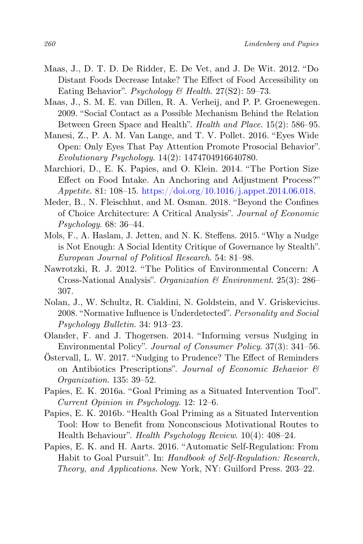- Maas, J., D. T. D. De Ridder, E. De Vet, and J. De Wit. 2012. "Do Distant Foods Decrease Intake? The Effect of Food Accessibility on Eating Behavior". *Psychology* & Health. 27(S2): 59–73.
- Maas, J., S. M. E. van Dillen, R. A. Verheij, and P. P. Groenewegen. 2009. "Social Contact as a Possible Mechanism Behind the Relation Between Green Space and Health". Health and Place. 15(2): 586–95.
- Manesi, Z., P. A. M. Van Lange, and T. V. Pollet. 2016. "Eyes Wide Open: Only Eyes That Pay Attention Promote Prosocial Behavior". Evolutionary Psychology. 14(2): 1474704916640780.
- Marchiori, D., E. K. Papies, and O. Klein. 2014. "The Portion Size Effect on Food Intake. An Anchoring and Adjustment Process?" Appetite. 81: 108–15. [https://doi.org/10.1016/j.appet.2014.06.018.](https://doi.org/10.1016/j.appet.2014.06.018)
- Meder, B., N. Fleischhut, and M. Osman. 2018. "Beyond the Confines of Choice Architecture: A Critical Analysis". Journal of Economic Psychology. 68: 36–44.
- Mols, F., A. Haslam, J. Jetten, and N. K. Steffens. 2015. "Why a Nudge is Not Enough: A Social Identity Critique of Governance by Stealth". European Journal of Political Research. 54: 81–98.
- Nawrotzki, R. J. 2012. "The Politics of Environmental Concern: A Cross-National Analysis". Organization & Environment. 25(3): 286– 307.
- Nolan, J., W. Schultz, R. Cialdini, N. Goldstein, and V. Griskevicius. 2008. "Normative Influence is Underdetected". Personality and Social Psychology Bulletin. 34: 913–23.
- Olander, F. and J. Thogersen. 2014. "Informing versus Nudging in Environmental Policy". Journal of Consumer Policy. 37(3): 341–56.
- Östervall, L. W. 2017. "Nudging to Prudence? The Effect of Reminders on Antibiotics Prescriptions". Journal of Economic Behavior & Organization. 135: 39–52.
- Papies, E. K. 2016a. "Goal Priming as a Situated Intervention Tool". Current Opinion in Psychology. 12: 12–6.
- Papies, E. K. 2016b. "Health Goal Priming as a Situated Intervention Tool: How to Benefit from Nonconscious Motivational Routes to Health Behaviour". Health Psychology Review. 10(4): 408–24.
- Papies, E. K. and H. Aarts. 2016. "Automatic Self-Regulation: From Habit to Goal Pursuit". In: Handbook of Self-Regulation: Research, Theory, and Applications. New York, NY: Guilford Press. 203–22.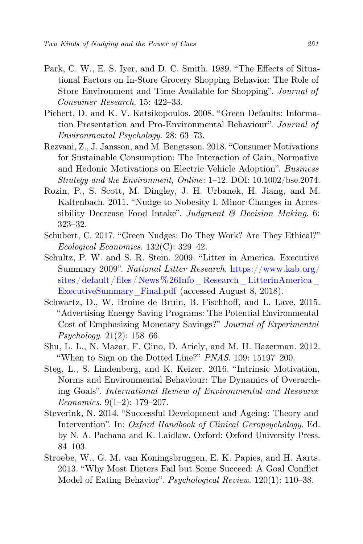- Park, C. W., E. S. Iyer, and D. C. Smith. 1989. "The Effects of Situational Factors on In-Store Grocery Shopping Behavior: The Role of Store Environment and Time Available for Shopping". Journal of Consumer Research. 15: 422–33.
- Pichert, D. and K. V. Katsikopoulos. 2008. "Green Defaults: Information Presentation and Pro-Environmental Behaviour". Journal of Environmental Psychology. 28: 63–73.
- Rezvani, Z., J. Jansson, and M. Bengtsson. 2018. "Consumer Motivations for Sustainable Consumption: The Interaction of Gain, Normative and Hedonic Motivations on Electric Vehicle Adoption". Business Strategy and the Environment, Online: 1–12. DOI: 10.1002/bse.2074.
- Rozin, P., S. Scott, M. Dingley, J. H. Urbanek, H. Jiang, and M. Kaltenbach. 2011. "Nudge to Nobesity I. Minor Changes in Accessibility Decrease Food Intake". Judgment  $\mathcal B$  Decision Making. 6: 323–32.
- Schubert, C. 2017. "Green Nudges: Do They Work? Are They Ethical?" Ecological Economics. 132(C): 329–42.
- Schultz, P. W. and S. R. Stein. 2009. "Litter in America. Executive Summary 2009". National Litter Research. [https://www.kab.org/](https://www.kab.org/sites/default/files/News%26Info_Research_LitterinAmerica_ExecutiveSummary_Final.pdf) sites/default/files/News%26Info\_Research\_LitterinAmerica ExecutiveSummary Final.pdf (accessed August 8, 2018).
- Schwartz, D., W. Bruine de Bruin, B. Fischhoff, and L. Lave. 2015. "Advertising Energy Saving Programs: The Potential Environmental Cost of Emphasizing Monetary Savings?" Journal of Experimental Psychology. 21(2): 158–66.
- Shu, L. L., N. Mazar, F. Gino, D. Ariely, and M. H. Bazerman. 2012. "When to Sign on the Dotted Line?" PNAS. 109: 15197–200.
- Steg, L., S. Lindenberg, and K. Keizer. 2016. "Intrinsic Motivation, Norms and Environmental Behaviour: The Dynamics of Overarching Goals". International Review of Environmental and Resource Economics. 9(1–2): 179–207.
- Steverink, N. 2014. "Successful Development and Ageing: Theory and Intervention". In: Oxford Handbook of Clinical Geropsychology. Ed. by N. A. Pachana and K. Laidlaw. Oxford: Oxford University Press. 84–103.
- Stroebe, W., G. M. van Koningsbruggen, E. K. Papies, and H. Aarts. 2013. "Why Most Dieters Fail but Some Succeed: A Goal Conflict Model of Eating Behavior". Psychological Review. 120(1): 110–38.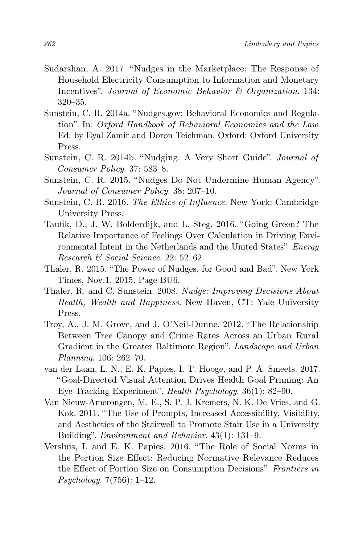- Sudarshan, A. 2017. "Nudges in the Marketplace: The Response of Household Electricity Consumption to Information and Monetary Incentives". Journal of Economic Behavior & Organization. 134: 320–35.
- Sunstein, C. R. 2014a. "Nudges.gov: Behavioral Economics and Regulation". In: Oxford Handbook of Behavioral Economics and the Law. Ed. by Eyal Zamir and Doron Teichman. Oxford: Oxford University Press.
- Sunstein, C. R. 2014b. "Nudging: A Very Short Guide". Journal of Consumer Policy. 37: 583–8.
- Sunstein, C. R. 2015. "Nudges Do Not Undermine Human Agency". Journal of Consumer Policy. 38: 207–10.
- Sunstein, C. R. 2016. The Ethics of Influence. New York: Cambridge University Press.
- Taufik, D., J. W. Bolderdijk, and L. Steg. 2016. "Going Green? The Relative Importance of Feelings Over Calculation in Driving Environmental Intent in the Netherlands and the United States". Energy Research & Social Science. 22: 52–62.
- Thaler, R. 2015. "The Power of Nudges, for Good and Bad". New York Times, Nov.1, 2015, Page BU6.
- Thaler, R. and C. Sunstein. 2008. Nudge: Improving Decisions About Health, Wealth and Happiness. New Haven, CT: Yale University Press.
- Troy, A., J. M. Grove, and J. O'Neil-Dunne. 2012. "The Relationship Between Tree Canopy and Crime Rates Across an Urban–Rural Gradient in the Greater Baltimore Region". Landscape and Urban Planning. 106: 262–70.
- van der Laan, L. N., E. K. Papies, I. T. Hooge, and P. A. Smeets. 2017. "Goal-Directed Visual Attention Drives Health Goal Priming: An Eye-Tracking Experiment". Health Psychology. 36(1): 82–90.
- Van Nieuw-Amerongen, M. E., S. P. J. Kremers, N. K. De Vries, and G. Kok. 2011. "The Use of Prompts, Increased Accessibility, Visibility, and Aesthetics of the Stairwell to Promote Stair Use in a University Building". Environment and Behavior. 43(1): 131–9.
- Versluis, I. and E. K. Papies. 2016. "The Role of Social Norms in the Portion Size Effect: Reducing Normative Relevance Reduces the Effect of Portion Size on Consumption Decisions". Frontiers in Psychology. 7(756): 1–12.